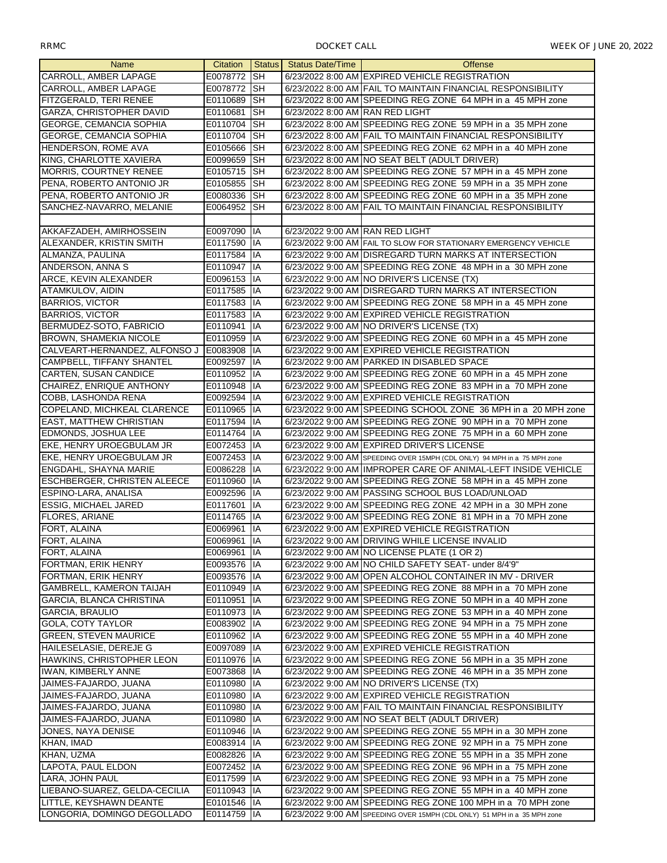| <b>Name</b>                                |              |             | Citation   Status   Status Date/Time | <b>Offense</b>                                                           |
|--------------------------------------------|--------------|-------------|--------------------------------------|--------------------------------------------------------------------------|
| CARROLL, AMBER LAPAGE                      | E0078772 SH  |             |                                      | 6/23/2022 8:00 AM EXPIRED VEHICLE REGISTRATION                           |
| CARROLL, AMBER LAPAGE                      | E0078772 SH  |             |                                      | 6/23/2022 8:00 AM FAIL TO MAINTAIN FINANCIAL RESPONSIBILITY              |
| FITZGERALD, TERI RENEE                     | E0110689 SH  |             |                                      | 6/23/2022 8:00 AM SPEEDING REG ZONE 64 MPH in a 45 MPH zone              |
| GARZA, CHRISTOPHER DAVID                   | E0110681     | <b>I</b> SH | 6/23/2022 8:00 AM RAN RED LIGHT      |                                                                          |
| GEORGE, CEMANCIA SOPHIA                    | E0110704     | <b>SH</b>   |                                      | 6/23/2022 8:00 AM SPEEDING REG ZONE 59 MPH in a 35 MPH zone              |
| <b>GEORGE, CEMANCIA SOPHIA</b>             | E0110704 SH  |             |                                      | 6/23/2022 8:00 AM FAIL TO MAINTAIN FINANCIAL RESPONSIBILITY              |
| HENDERSON, ROME AVA                        | E0105666 SH  |             |                                      | 6/23/2022 8:00 AM SPEEDING REG ZONE 62 MPH in a 40 MPH zone              |
| KING, CHARLOTTE XAVIERA                    | E0099659 SH  |             |                                      | 6/23/2022 8:00 AM NO SEAT BELT (ADULT DRIVER)                            |
| <b>MORRIS, COURTNEY RENEE</b>              | E0105715 SH  |             |                                      | 6/23/2022 8:00 AM SPEEDING REG ZONE 57 MPH in a 45 MPH zone              |
| PENA, ROBERTO ANTONIO JR                   | E0105855 SH  |             |                                      | 6/23/2022 8:00 AM SPEEDING REG ZONE 59 MPH in a 35 MPH zone              |
| PENA, ROBERTO ANTONIO JR                   | E0080336 SH  |             |                                      | 6/23/2022 8:00 AM SPEEDING REG ZONE 60 MPH in a 35 MPH zone              |
| SANCHEZ-NAVARRO, MELANIE                   | E0064952 SH  |             |                                      | 6/23/2022 8:00 AM FAIL TO MAINTAIN FINANCIAL RESPONSIBILITY              |
|                                            |              |             |                                      |                                                                          |
| AKKAFZADEH, AMIRHOSSEIN                    | E0097090 IA  |             | 6/23/2022 9:00 AM RAN RED LIGHT      |                                                                          |
| ALEXANDER, KRISTIN SMITH                   | E0117590 IA  |             |                                      | 6/23/2022 9:00 AM FAIL TO SLOW FOR STATIONARY EMERGENCY VEHICLE          |
| ALMANZA, PAULINA                           | E0117584 IA  |             |                                      | 6/23/2022 9:00 AM DISREGARD TURN MARKS AT INTERSECTION                   |
| ANDERSON, ANNA S                           | E0110947 IA  |             |                                      | 6/23/2022 9:00 AM SPEEDING REG ZONE 48 MPH in a 30 MPH zone              |
| ARCE, KEVIN ALEXANDER                      | E0096153 IA  |             |                                      | 6/23/2022 9:00 AM NO DRIVER'S LICENSE (TX)                               |
| ATAMKULOV, AIDIN                           | E0117585 IA  |             |                                      | 6/23/2022 9:00 AM DISREGARD TURN MARKS AT INTERSECTION                   |
| <b>BARRIOS, VICTOR</b>                     | E0117583 IA  |             |                                      | 6/23/2022 9:00 AM SPEEDING REG ZONE 58 MPH in a 45 MPH zone              |
| <b>BARRIOS, VICTOR</b>                     | E0117583 IA  |             |                                      | 6/23/2022 9:00 AM EXPIRED VEHICLE REGISTRATION                           |
| BERMUDEZ-SOTO, FABRICIO                    | E0110941     | IІA         |                                      | 6/23/2022 9:00 AM NO DRIVER'S LICENSE (TX)                               |
| <b>BROWN, SHAMEKIA NICOLE</b>              | E0110959 IA  |             |                                      | 6/23/2022 9:00 AM SPEEDING REG ZONE 60 MPH in a 45 MPH zone              |
| CALVEART-HERNANDEZ, ALFONSO J E0083908 IIA |              |             |                                      | 6/23/2022 9:00 AM EXPIRED VEHICLE REGISTRATION                           |
| <b>CAMPBELL, TIFFANY SHANTEL</b>           | E0092597 IA  |             |                                      | 6/23/2022 9:00 AM PARKED IN DISABLED SPACE                               |
| <b>CARTEN, SUSAN CANDICE</b>               | E0110952 IA  |             |                                      | 6/23/2022 9:00 AM SPEEDING REG ZONE 60 MPH in a 45 MPH zone              |
| CHAIREZ, ENRIQUE ANTHONY                   | E0110948 IA  |             |                                      | 6/23/2022 9:00 AM SPEEDING REG ZONE 83 MPH in a 70 MPH zone              |
| COBB, LASHONDA RENA                        | E0092594 IA  |             |                                      | 6/23/2022 9:00 AM EXPIRED VEHICLE REGISTRATION                           |
| COPELAND, MICHKEAL CLARENCE                | E0110965 IA  |             |                                      | 6/23/2022 9:00 AM SPEEDING SCHOOL ZONE 36 MPH in a 20 MPH zone           |
| <b>EAST, MATTHEW CHRISTIAN</b>             | E0117594 IA  |             |                                      | 6/23/2022 9:00 AM SPEEDING REG ZONE 90 MPH in a 70 MPH zone              |
| EDMONDS, JOSHUA LEE                        | E0114764 IA  |             |                                      | 6/23/2022 9:00 AM SPEEDING REG ZONE 75 MPH in a 60 MPH zone              |
| EKE, HENRY UROEGBULAM JR                   | E0072453 IA  |             |                                      | 6/23/2022 9:00 AM EXPIRED DRIVER'S LICENSE                               |
| EKE, HENRY UROEGBULAM JR                   | E0072453 IA  |             |                                      | 6/23/2022 9:00 AM SPEEDING OVER 15MPH (CDL ONLY) 94 MPH in a 75 MPH zone |
| <b>ENGDAHL, SHAYNA MARIE</b>               | E0086228 IA  |             |                                      | 6/23/2022 9:00 AM IMPROPER CARE OF ANIMAL-LEFT INSIDE VEHICLE            |
| <b>ESCHBERGER, CHRISTEN ALEECE</b>         | E0110960 IA  |             |                                      | 6/23/2022 9:00 AM SPEEDING REG ZONE 58 MPH in a 45 MPH zone              |
| ESPINO-LARA, ANALISA                       | E0092596 IA  |             |                                      | 6/23/2022 9:00 AM PASSING SCHOOL BUS LOAD/UNLOAD                         |
| <b>ESSIG, MICHAEL JARED</b>                | E0117601 IA  |             |                                      | 6/23/2022 9:00 AM SPEEDING REG ZONE 42 MPH in a 30 MPH zone              |
| FLORES, ARIANE                             | E0114765 IA  |             |                                      | 6/23/2022 9:00 AM SPEEDING REG ZONE 81 MPH in a 70 MPH zone              |
| FORT, ALAINA                               | E0069961     | <b>IIA</b>  |                                      | 6/23/2022 9:00 AM EXPIRED VEHICLE REGISTRATION                           |
| FORT, ALAINA                               | E0069961 IA  |             |                                      | 6/23/2022 9:00 AM DRIVING WHILE LICENSE INVALID                          |
| FORT, ALAINA                               | E0069961 IA  |             |                                      | 6/23/2022 9:00 AM NO LICENSE PLATE (1 OR 2)                              |
| FORTMAN, ERIK HENRY                        | E0093576 IA  |             |                                      | 6/23/2022 9:00 AM NO CHILD SAFETY SEAT- under 8/4'9"                     |
| FORTMAN, ERIK HENRY                        | E0093576 IA  |             |                                      | 6/23/2022 9:00 AM OPEN ALCOHOL CONTAINER IN MV - DRIVER                  |
| <b>GAMBRELL, KAMERON TAIJAH</b>            | E0110949 IA  |             |                                      | 6/23/2022 9:00 AM SPEEDING REG ZONE 88 MPH in a 70 MPH zone              |
| <b>GARCIA, BLANCA CHRISTINA</b>            | E0110951     | 1IA         |                                      | 6/23/2022 9:00 AM SPEEDING REG ZONE 50 MPH in a 40 MPH zone              |
| <b>GARCIA, BRAULIO</b>                     | E0110973 IIA |             |                                      | 6/23/2022 9:00 AM SPEEDING REG ZONE 53 MPH in a 40 MPH zone              |
| <b>GOLA, COTY TAYLOR</b>                   | E0083902 IA  |             |                                      | 6/23/2022 9:00 AM SPEEDING REG ZONE 94 MPH in a 75 MPH zone              |
| <b>GREEN, STEVEN MAURICE</b>               | E0110962 IA  |             |                                      | 6/23/2022 9:00 AM SPEEDING REG ZONE 55 MPH in a 40 MPH zone              |
| HAILESELASIE, DEREJE G                     | E0097089 IA  |             |                                      | 6/23/2022 9:00 AM EXPIRED VEHICLE REGISTRATION                           |
| HAWKINS, CHRISTOPHER LEON                  | E0110976 IA  |             |                                      | 6/23/2022 9:00 AM SPEEDING REG ZONE 56 MPH in a 35 MPH zone              |
| <b>IWAN, KIMBERLY ANNE</b>                 | E0073868 IA  |             |                                      | 6/23/2022 9:00 AM SPEEDING REG ZONE 46 MPH in a 35 MPH zone              |
| JAIMES-FAJARDO, JUANA                      | E0110980 IA  |             |                                      | 6/23/2022 9:00 AM NO DRIVER'S LICENSE (TX)                               |
| JAIMES-FAJARDO, JUANA                      | E0110980 IA  |             |                                      | 6/23/2022 9:00 AM EXPIRED VEHICLE REGISTRATION                           |
| JAIMES-FAJARDO, JUANA                      | E0110980 IA  |             |                                      | 6/23/2022 9:00 AM FAIL TO MAINTAIN FINANCIAL RESPONSIBILITY              |
| JAIMES-FAJARDO, JUANA                      | E0110980 IA  |             |                                      | 6/23/2022 9:00 AM NO SEAT BELT (ADULT DRIVER)                            |
| JONES, NAYA DENISE                         | E0110946 IA  |             |                                      | 6/23/2022 9:00 AM SPEEDING REG ZONE 55 MPH in a 30 MPH zone              |
| KHAN, IMAD                                 | E0083914  IA |             |                                      | 6/23/2022 9:00 AM SPEEDING REG ZONE 92 MPH in a 75 MPH zone              |
| KHAN, UZMA                                 | E0082826 IA  |             |                                      | 6/23/2022 9:00 AM SPEEDING REG ZONE 55 MPH in a 35 MPH zone              |
| LAPOTA, PAUL ELDON                         | E0072452 IA  |             |                                      | 6/23/2022 9:00 AM SPEEDING REG ZONE 96 MPH in a 75 MPH zone              |
| LARA, JOHN PAUL                            | E0117599 IA  |             |                                      | 6/23/2022 9:00 AM SPEEDING REG ZONE 93 MPH in a 75 MPH zone              |
| LIEBANO-SUAREZ, GELDA-CECILIA              | E0110943 IA  |             |                                      | 6/23/2022 9:00 AM SPEEDING REG ZONE 55 MPH in a 40 MPH zone              |
| LITTLE, KEYSHAWN DEANTE                    | E0101546 IA  |             |                                      | 6/23/2022 9:00 AM SPEEDING REG ZONE 100 MPH in a 70 MPH zone             |
| LONGORIA, DOMINGO DEGOLLADO                | E0114759 IA  |             |                                      | 6/23/2022 9:00 AM SPEEDING OVER 15MPH (CDL ONLY) 51 MPH in a 35 MPH zone |